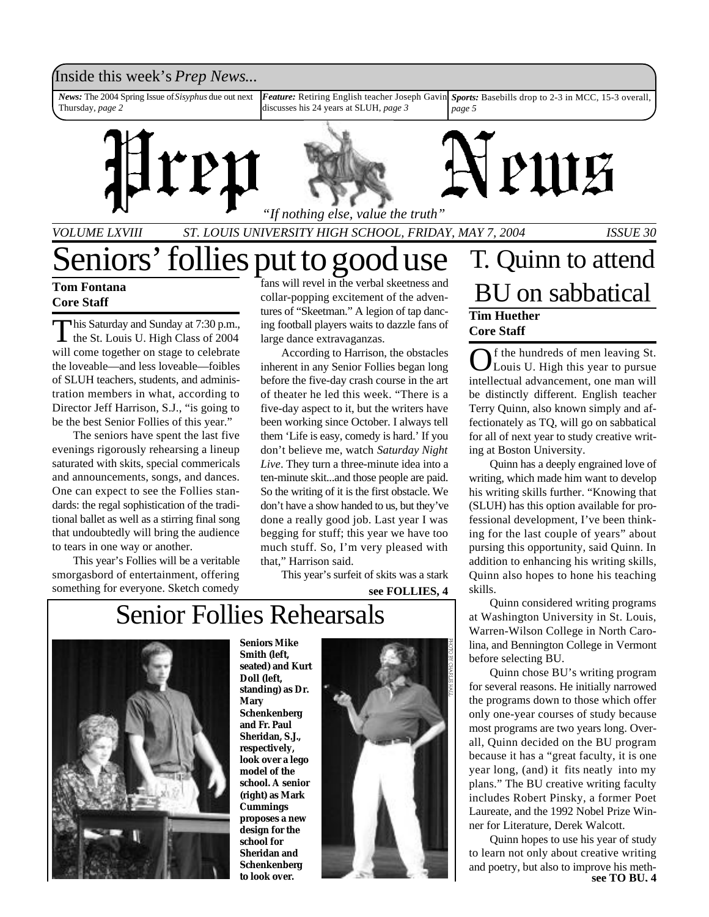### Inside this week's *Prep News*...

*Feature:* Retiring English teacher Joseph Gavin discusses his 24 years at SLUH, *page 3 News:* The 2004 Spring Issue of *Sisyphus* due out next Thursday, *page 2 Sports:* Basebills drop to 2-3 in MCC, 15-3 overall, *page 5*



*VOLUME LXVIII ST. LOUIS UNIVERSITY HIGH SCHOOL, FRIDAY, MAY 7, 2004 ISSUE 30*

### **Tom Fontana Core Staff**

This Saturday and Sunday at 7:30 p.m.<br>the St. Louis U. High Class of 2004 his Saturday and Sunday at 7:30 p.m., will come together on stage to celebrate the loveable—and less loveable—foibles of SLUH teachers, students, and administration members in what, according to Director Jeff Harrison, S.J., "is going to be the best Senior Follies of this year."

The seniors have spent the last five evenings rigorously rehearsing a lineup saturated with skits, special commericals and announcements, songs, and dances. One can expect to see the Follies standards: the regal sophistication of the traditional ballet as well as a stirring final song that undoubtedly will bring the audience to tears in one way or another.

This year's Follies will be a veritable smorgasbord of entertainment, offering something for everyone. Sketch comedy

fans will revel in the verbal skeetness and collar-popping excitement of the adventures of "Skeetman." A legion of tap dancing football players waits to dazzle fans of large dance extravaganzas.

According to Harrison, the obstacles inherent in any Senior Follies began long before the five-day crash course in the art of theater he led this week. "There is a five-day aspect to it, but the writers have been working since October. I always tell them 'Life is easy, comedy is hard.' If you don't believe me, watch *Saturday Night Live*. They turn a three-minute idea into a ten-minute skit...and those people are paid. So the writing of it is the first obstacle. We don't have a show handed to us, but they've done a really good job. Last year I was begging for stuff; this year we have too much stuff. So, I'm very pleased with that," Harrison said.

This year's surfeit of skits was a stark

**see FOLLIES, 4**

## Senior Follies Rehearsals



**Seniors Mike Smith (left, seated) and Kurt Doll (left, standing) as Dr. Mary Schenkenberg and Fr. Paul Sheridan, S.J., respectively, look over a lego model of the school. A senior (right) as Mark Cummings proposes a new design for the school for Sheridan and Schenkenberg to look over.**



## Seniors' follies put to good use T. Quinn to attend BU on sabbatical **Tim Huether Core Staff**

Of the hundreds of men leaving St.<br>Louis U. High this year to pursue Louis U. High this year to pursue intellectual advancement, one man will be distinctly different. English teacher Terry Quinn, also known simply and affectionately as TQ, will go on sabbatical for all of next year to study creative writing at Boston University.

Quinn has a deeply engrained love of writing, which made him want to develop his writing skills further. "Knowing that (SLUH) has this option available for professional development, I've been thinking for the last couple of years" about pursing this opportunity, said Quinn. In addition to enhancing his writing skills, Quinn also hopes to hone his teaching skills.

Quinn considered writing programs at Washington University in St. Louis, Warren-Wilson College in North Carolina, and Bennington College in Vermont before selecting BU.

Quinn chose BU's writing program for several reasons. He initially narrowed the programs down to those which offer only one-year courses of study because most programs are two years long. Overall, Quinn decided on the BU program because it has a "great faculty, it is one year long, (and) it fits neatly into my plans." The BU creative writing faculty includes Robert Pinsky, a former Poet Laureate, and the 1992 Nobel Prize Winner for Literature, Derek Walcott.

Quinn hopes to use his year of study to learn not only about creative writing and poetry, but also to improve his meth**see TQ BU, 4**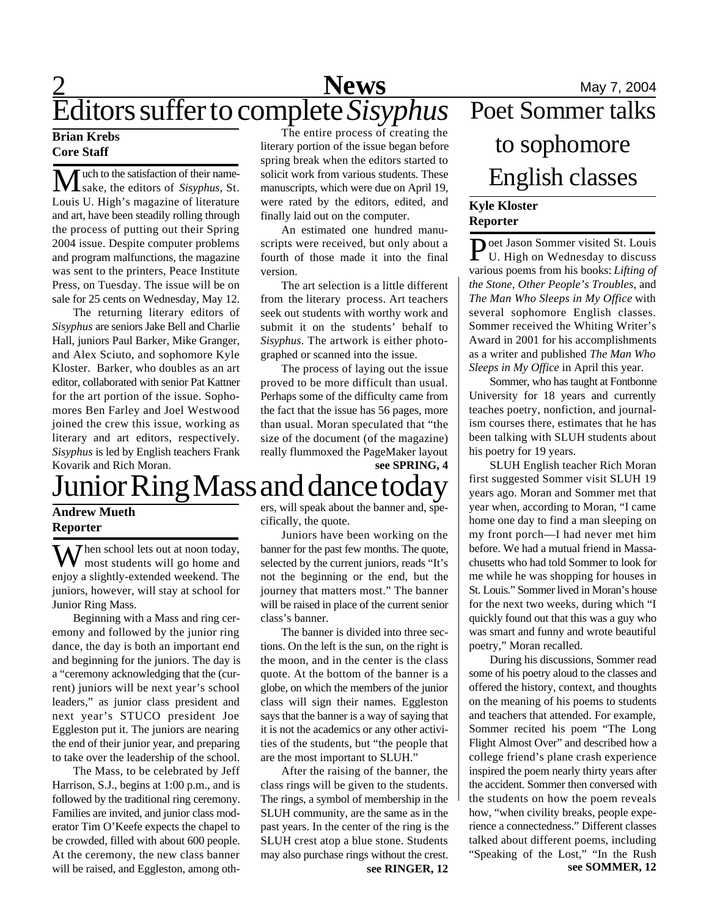## **1 News** May 7, 2004 Editors suffer to complete *Sisyphus*

### **Brian Krebs Core Staff**

Much to the satisfaction of their name-sake, the editors of *Sisyphus*, St. Louis U. High's magazine of literature and art, have been steadily rolling through the process of putting out their Spring 2004 issue. Despite computer problems and program malfunctions, the magazine was sent to the printers, Peace Institute Press, on Tuesday. The issue will be on sale for 25 cents on Wednesday, May 12.

The returning literary editors of *Sisyphus* are seniors Jake Bell and Charlie Hall, juniors Paul Barker, Mike Granger, and Alex Sciuto, and sophomore Kyle Kloster. Barker, who doubles as an art editor, collaborated with senior Pat Kattner for the art portion of the issue. Sophomores Ben Farley and Joel Westwood joined the crew this issue, working as literary and art editors, respectively. *Sisyphus* is led by English teachers Frank Kovarik and Rich Moran.

The entire process of creating the literary portion of the issue began before spring break when the editors started to solicit work from various students. These manuscripts, which were due on April 19, were rated by the editors, edited, and finally laid out on the computer.

An estimated one hundred manuscripts were received, but only about a fourth of those made it into the final version.

The art selection is a little different from the literary process. Art teachers seek out students with worthy work and submit it on the students' behalf to *Sisyphus*. The artwork is either photographed or scanned into the issue.

The process of laying out the issue proved to be more difficult than usual. Perhaps some of the difficulty came from the fact that the issue has 56 pages, more than usual. Moran speculated that "the size of the document (of the magazine) really flummoxed the PageMaker layout **see SPRING, 4**

## Junior Ring Mass and dance today

### **Andrew Mueth Reporter**

When school lets out at noon today,<br>most students will go home and enjoy a slightly-extended weekend. The juniors, however, will stay at school for Junior Ring Mass.

Beginning with a Mass and ring ceremony and followed by the junior ring dance, the day is both an important end and beginning for the juniors. The day is a "ceremony acknowledging that the (current) juniors will be next year's school leaders," as junior class president and next year's STUCO president Joe Eggleston put it. The juniors are nearing the end of their junior year, and preparing to take over the leadership of the school.

The Mass, to be celebrated by Jeff Harrison, S.J., begins at 1:00 p.m., and is followed by the traditional ring ceremony. Families are invited, and junior class moderator Tim O'Keefe expects the chapel to be crowded, filled with about 600 people. At the ceremony, the new class banner will be raised, and Eggleston, among others, will speak about the banner and, specifically, the quote.

Juniors have been working on the banner for the past few months. The quote, selected by the current juniors, reads "It's not the beginning or the end, but the journey that matters most." The banner will be raised in place of the current senior class's banner.

The banner is divided into three sections. On the left is the sun, on the right is the moon, and in the center is the class quote. At the bottom of the banner is a globe, on which the members of the junior class will sign their names. Eggleston says that the banner is a way of saying that it is not the academics or any other activities of the students, but "the people that are the most important to SLUH."

After the raising of the banner, the class rings will be given to the students. The rings, a symbol of membership in the SLUH community, are the same as in the past years. In the center of the ring is the SLUH crest atop a blue stone. Students may also purchase rings without the crest.

# Poet Sommer talks to sophomore English classes

### **Kyle Kloster Reporter**

Poet Jason Sommer visited St. Louis<br>U. High on Wednesday to discuss **Doet Jason Sommer visited St. Louis** various poems from his books: *Lifting of the Stone, Other People's Troubles*, and *The Man Who Sleeps in My Office* with several sophomore English classes. Sommer received the Whiting Writer's Award in 2001 for his accomplishments as a writer and published *The Man Who Sleeps in My Office* in April this year.

Sommer, who has taught at Fontbonne University for 18 years and currently teaches poetry, nonfiction, and journalism courses there, estimates that he has been talking with SLUH students about his poetry for 19 years.

SLUH English teacher Rich Moran first suggested Sommer visit SLUH 19 years ago. Moran and Sommer met that year when, according to Moran, "I came home one day to find a man sleeping on my front porch—I had never met him before. We had a mutual friend in Massachusetts who had told Sommer to look for me while he was shopping for houses in St. Louis." Sommer lived in Moran's house for the next two weeks, during which "I quickly found out that this was a guy who was smart and funny and wrote beautiful poetry," Moran recalled.

**see RINGER, 12 see SOMMER, 12** During his discussions, Sommer read some of his poetry aloud to the classes and offered the history, context, and thoughts on the meaning of his poems to students and teachers that attended. For example, Sommer recited his poem "The Long Flight Almost Over" and described how a college friend's plane crash experience inspired the poem nearly thirty years after the accident. Sommer then conversed with the students on how the poem reveals how, "when civility breaks, people experience a connectedness." Different classes talked about different poems, including "Speaking of the Lost," "In the Rush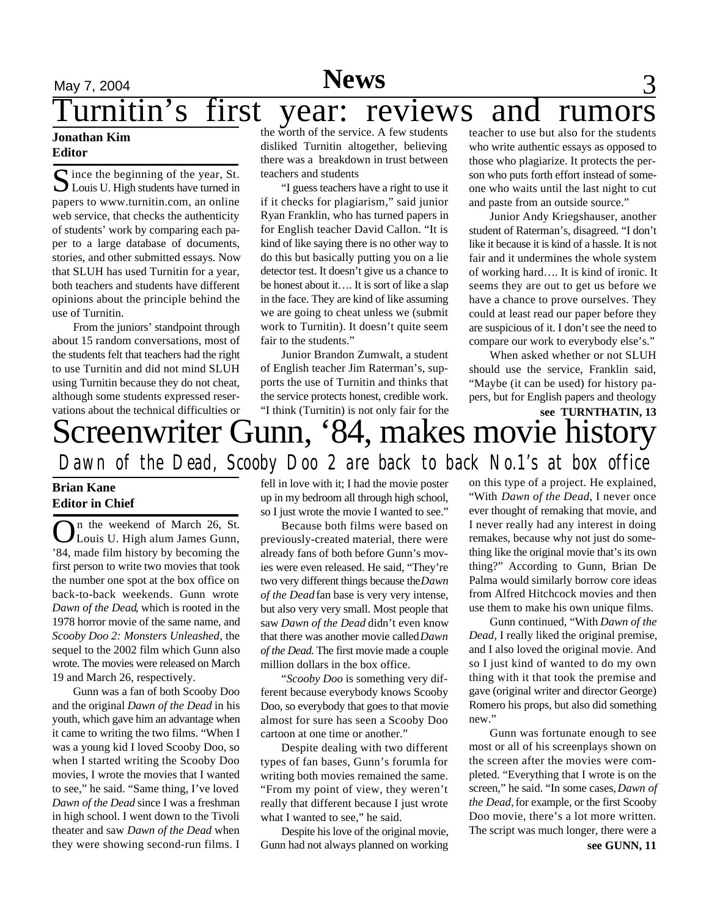## **News**

## May 7, 2004 **News** 3 urnitin's first year: reviews and rumors

### **Jonathan Kim Editor**

S ince the beginning of the year, St.<br>Louis U. High students have turned in  $\Gamma$  ince the beginning of the year, St. papers to www.turnitin.com, an online web service, that checks the authenticity of students' work by comparing each paper to a large database of documents, stories, and other submitted essays. Now that SLUH has used Turnitin for a year, both teachers and students have different opinions about the principle behind the use of Turnitin.

From the juniors' standpoint through about 15 random conversations, most of the students felt that teachers had the right to use Turnitin and did not mind SLUH using Turnitin because they do not cheat, although some students expressed reservations about the technical difficulties or

the worth of the service. A few students disliked Turnitin altogether, believing there was a breakdown in trust between teachers and students

"I guess teachers have a right to use it if it checks for plagiarism," said junior Ryan Franklin, who has turned papers in for English teacher David Callon. "It is kind of like saying there is no other way to do this but basically putting you on a lie detector test. It doesn't give us a chance to be honest about it…. It is sort of like a slap in the face. They are kind of like assuming we are going to cheat unless we (submit work to Turnitin). It doesn't quite seem fair to the students."

Junior Brandon Zumwalt, a student of English teacher Jim Raterman's, supports the use of Turnitin and thinks that the service protects honest, credible work. "I think (Turnitin) is not only fair for the

teacher to use but also for the students who write authentic essays as opposed to those who plagiarize. It protects the person who puts forth effort instead of someone who waits until the last night to cut and paste from an outside source."

Junior Andy Kriegshauser, another student of Raterman's, disagreed. "I don't like it because it is kind of a hassle. It is not fair and it undermines the whole system of working hard…. It is kind of ironic. It seems they are out to get us before we have a chance to prove ourselves. They could at least read our paper before they are suspicious of it. I don't see the need to compare our work to everybody else's."

When asked whether or not SLUH should use the service, Franklin said, "Maybe (it can be used) for history papers, but for English papers and theology

### Screenwriter Gunn, '84, makes movie history *Dawn of the Dead, Scooby Doo 2 are back to back No.1's at box office* **see TURNTHATIN, 13**

### **Brian Kane Editor in Chief**

On the weekend of March 26, St.<br>Louis U. High alum James Gunn, n the weekend of March 26, St. '84, made film history by becoming the first person to write two movies that took the number one spot at the box office on back-to-back weekends. Gunn wrote *Dawn of the Dead*, which is rooted in the 1978 horror movie of the same name, and *Scooby Doo 2: Monsters Unleashed*, the sequel to the 2002 film which Gunn also wrote. The movies were released on March 19 and March 26, respectively.

Gunn was a fan of both Scooby Doo and the original *Dawn of the Dead* in his youth, which gave him an advantage when it came to writing the two films. "When I was a young kid I loved Scooby Doo, so when I started writing the Scooby Doo movies, I wrote the movies that I wanted to see," he said. "Same thing, I've loved *Dawn of the Dead* since I was a freshman in high school. I went down to the Tivoli theater and saw *Dawn of the Dead* when they were showing second-run films. I fell in love with it; I had the movie poster up in my bedroom all through high school, so I just wrote the movie I wanted to see."

Because both films were based on previously-created material, there were already fans of both before Gunn's movies were even released. He said, "They're two very different things because the *Dawn of the Dead* fan base is very very intense, but also very very small. Most people that saw *Dawn of the Dead* didn't even know that there was another movie called *Dawn of the Dead*. The first movie made a couple million dollars in the box office.

"*Scooby Doo* is something very different because everybody knows Scooby Doo, so everybody that goes to that movie almost for sure has seen a Scooby Doo cartoon at one time or another."

Despite dealing with two different types of fan bases, Gunn's forumla for writing both movies remained the same. "From my point of view, they weren't really that different because I just wrote what I wanted to see," he said.

Despite his love of the original movie, Gunn had not always planned on working

on this type of a project. He explained, "With *Dawn of the Dead*, I never once ever thought of remaking that movie, and I never really had any interest in doing remakes, because why not just do something like the original movie that's its own thing?" According to Gunn, Brian De Palma would similarly borrow core ideas from Alfred Hitchcock movies and then use them to make his own unique films.

Gunn continued, "With *Dawn of the Dead*, I really liked the original premise, and I also loved the original movie. And so I just kind of wanted to do my own thing with it that took the premise and gave (original writer and director George) Romero his props, but also did something new."

**see GUNN, 11** Gunn was fortunate enough to see most or all of his screenplays shown on the screen after the movies were completed. "Everything that I wrote is on the screen," he said. "In some cases, *Dawn of the Dead,* for example, or the first Scooby Doo movie, there's a lot more written. The script was much longer, there were a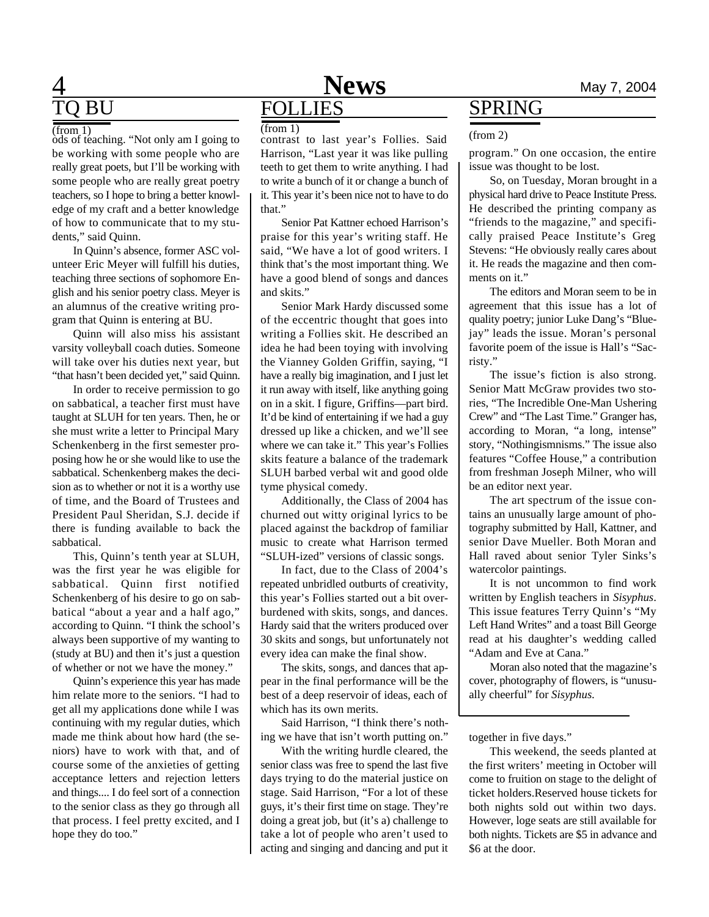## **4** Mews May 7, 2004 **FOLLIES**

# **BU**

 $(from 1)$ 

ods of teaching. "Not only am I going to be working with some people who are really great poets, but I'll be working with some people who are really great poetry teachers, so I hope to bring a better knowledge of my craft and a better knowledge of how to communicate that to my students," said Quinn.

In Quinn's absence, former ASC volunteer Eric Meyer will fulfill his duties, teaching three sections of sophomore English and his senior poetry class. Meyer is an alumnus of the creative writing program that Quinn is entering at BU.

Quinn will also miss his assistant varsity volleyball coach duties. Someone will take over his duties next year, but "that hasn't been decided yet," said Quinn.

In order to receive permission to go on sabbatical, a teacher first must have taught at SLUH for ten years. Then, he or she must write a letter to Principal Mary Schenkenberg in the first semester proposing how he or she would like to use the sabbatical. Schenkenberg makes the decision as to whether or not it is a worthy use of time, and the Board of Trustees and President Paul Sheridan, S.J. decide if there is funding available to back the sabbatical.

This, Quinn's tenth year at SLUH, was the first year he was eligible for sabbatical. Quinn first notified Schenkenberg of his desire to go on sabbatical "about a year and a half ago," according to Quinn. "I think the school's always been supportive of my wanting to (study at BU) and then it's just a question of whether or not we have the money."

Quinn's experience this year has made him relate more to the seniors. "I had to get all my applications done while I was continuing with my regular duties, which made me think about how hard (the seniors) have to work with that, and of course some of the anxieties of getting acceptance letters and rejection letters and things.... I do feel sort of a connection to the senior class as they go through all that process. I feel pretty excited, and I hope they do too."

 $($ from 1)  $($  contrast to last year's Follies. Said  $($   $($ from 2) Harrison, "Last year it was like pulling teeth to get them to write anything. I had to write a bunch of it or change a bunch of it. This year it's been nice not to have to do that."

Senior Pat Kattner echoed Harrison's praise for this year's writing staff. He said, "We have a lot of good writers. I think that's the most important thing. We have a good blend of songs and dances and skits."

Senior Mark Hardy discussed some of the eccentric thought that goes into writing a Follies skit. He described an idea he had been toying with involving the Vianney Golden Griffin, saying, "I have a really big imagination, and I just let it run away with itself, like anything going on in a skit. I figure, Griffins—part bird. It'd be kind of entertaining if we had a guy dressed up like a chicken, and we'll see where we can take it." This year's Follies skits feature a balance of the trademark SLUH barbed verbal wit and good olde tyme physical comedy.

Additionally, the Class of 2004 has churned out witty original lyrics to be placed against the backdrop of familiar music to create what Harrison termed "SLUH-ized" versions of classic songs.

In fact, due to the Class of 2004's repeated unbridled outburts of creativity, this year's Follies started out a bit overburdened with skits, songs, and dances. Hardy said that the writers produced over 30 skits and songs, but unfortunately not every idea can make the final show.

The skits, songs, and dances that appear in the final performance will be the best of a deep reservoir of ideas, each of which has its own merits.

Said Harrison, "I think there's nothing we have that isn't worth putting on."

With the writing hurdle cleared, the senior class was free to spend the last five days trying to do the material justice on stage. Said Harrison, "For a lot of these guys, it's their first time on stage. They're doing a great job, but (it's a) challenge to take a lot of people who aren't used to acting and singing and dancing and put it

## SPRING

program." On one occasion, the entire issue was thought to be lost.

So, on Tuesday, Moran brought in a physical hard drive to Peace Institute Press. He described the printing company as "friends to the magazine," and specifically praised Peace Institute's Greg Stevens: "He obviously really cares about it. He reads the magazine and then comments on it."

The editors and Moran seem to be in agreement that this issue has a lot of quality poetry; junior Luke Dang's "Bluejay" leads the issue. Moran's personal favorite poem of the issue is Hall's "Sacristy."

The issue's fiction is also strong. Senior Matt McGraw provides two stories, "The Incredible One-Man Ushering Crew" and "The Last Time." Granger has, according to Moran, "a long, intense" story, "Nothingismnisms." The issue also features "Coffee House," a contribution from freshman Joseph Milner, who will be an editor next year.

The art spectrum of the issue contains an unusually large amount of photography submitted by Hall, Kattner, and senior Dave Mueller. Both Moran and Hall raved about senior Tyler Sinks's watercolor paintings.

It is not uncommon to find work written by English teachers in *Sisyphus*. This issue features Terry Quinn's "My Left Hand Writes" and a toast Bill George read at his daughter's wedding called "Adam and Eve at Cana."

Moran also noted that the magazine's cover, photography of flowers, is "unusually cheerful" for *Sisyphus.*

together in five days."

This weekend, the seeds planted at the first writers' meeting in October will come to fruition on stage to the delight of ticket holders.Reserved house tickets for both nights sold out within two days. However, loge seats are still available for both nights. Tickets are \$5 in advance and \$6 at the door.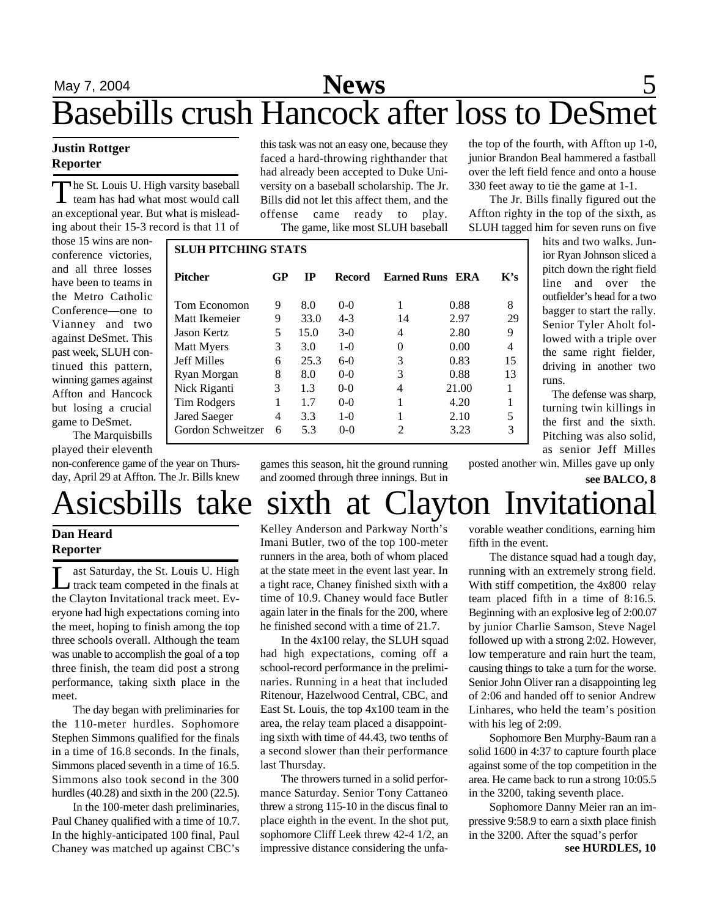## May 7, 2004 **News** 5 Basebills crush Hancock after loss to DeSmet

### **Justin Rottger Reporter**

The St. Louis U. High varsity baseball<br>team has had what most would call he St. Louis U. High varsity baseball an exceptional year. But what is misleading about their 15-3 record is that 11 of

those 15 wins are nonconference victories, and all three losses have been to teams in the Metro Catholic Conference—one to Vianney and two against DeSmet. This past week, SLUH continued this pattern, winning games against Affton and Hancock but losing a crucial game to DeSmet.

The Marquisbills played their eleventh

non-conference game of the year on Thursday, April 29 at Affton. The Jr. Bills knew this task was not an easy one, because they faced a hard-throwing righthander that had already been accepted to Duke University on a baseball scholarship. The Jr. Bills did not let this affect them, and the offense came ready to play. The game, like most SLUH baseball

the top of the fourth, with Affton up 1-0, junior Brandon Beal hammered a fastball over the left field fence and onto a house 330 feet away to tie the game at 1-1.

The Jr. Bills finally figured out the Affton righty in the top of the sixth, as SLUH tagged him for seven runs on five

٦

| <b>SLUH PITCHING STATS</b> |    |             |         |                    |       |     |
|----------------------------|----|-------------|---------|--------------------|-------|-----|
| <b>Pitcher</b>             | GP | $_{\rm IP}$ | Record  | <b>Earned Runs</b> | ERA   | K's |
| Tom Economon               | 9  | 8.0         | $0 - 0$ | 1                  | 0.88  | 8   |
| Matt Ikemeier              | 9  | 33.0        | $4 - 3$ | 14                 | 2.97  | 29  |
| Jason Kertz                | 5  | 15.0        | $3-0$   | 4                  | 2.80  | 9   |
| Matt Myers                 | 3  | 3.0         | $1-0$   | $\mathbf{\Omega}$  | 0.00  | 4   |
| <b>Jeff Milles</b>         | 6  | 25.3        | $6-0$   | 3                  | 0.83  | 15  |
| Ryan Morgan                | 8  | 8.0         | $0 - 0$ | 3                  | 0.88  | 13  |
| Nick Riganti               | 3  | 1.3         | $0 - 0$ |                    | 21.00 |     |
| Tim Rodgers                |    | 1.7         | $0 - 0$ |                    | 4.20  |     |
| Jared Saeger               | 4  | 3.3         | $1-0$   |                    | 2.10  | 5   |
| Gordon Schweitzer          | 6  | 5.3         | $0 - 0$ | 2                  | 3.23  | 3   |

hits and two walks. Junior Ryan Johnson sliced a pitch down the right field line and over the outfielder's head for a two bagger to start the rally. Senior Tyler Aholt followed with a triple over the same right fielder, driving in another two runs.

The defense was sharp, turning twin killings in the first and the sixth. Pitching was also solid, as senior Jeff Milles posted another win. Milles gave up only

**see BALCO, 8**

games this season, hit the ground running and zoomed through three innings. But in

# Asicsbills take sixth at Clayton Invitational

### **Dan Heard Reporter**

L ast Saturday, the St. Louis U. High track team competed in the finals at the Clayton Invitational track meet. Everyone had high expectations coming into the meet, hoping to finish among the top three schools overall. Although the team was unable to accomplish the goal of a top three finish, the team did post a strong performance, taking sixth place in the meet.

The day began with preliminaries for the 110-meter hurdles. Sophomore Stephen Simmons qualified for the finals in a time of 16.8 seconds. In the finals, Simmons placed seventh in a time of 16.5. Simmons also took second in the 300 hurdles (40.28) and sixth in the 200 (22.5).

In the 100-meter dash preliminaries, Paul Chaney qualified with a time of 10.7. In the highly-anticipated 100 final, Paul Chaney was matched up against CBC's

Kelley Anderson and Parkway North's Imani Butler, two of the top 100-meter runners in the area, both of whom placed at the state meet in the event last year. In a tight race, Chaney finished sixth with a time of 10.9. Chaney would face Butler again later in the finals for the 200, where he finished second with a time of 21.7.

In the 4x100 relay, the SLUH squad had high expectations, coming off a school-record performance in the preliminaries. Running in a heat that included Ritenour, Hazelwood Central, CBC, and East St. Louis, the top 4x100 team in the area, the relay team placed a disappointing sixth with time of 44.43, two tenths of a second slower than their performance last Thursday.

The throwers turned in a solid performance Saturday. Senior Tony Cattaneo threw a strong 115-10 in the discus final to place eighth in the event. In the shot put, sophomore Cliff Leek threw 42-4 1/2, an impressive distance considering the unfavorable weather conditions, earning him fifth in the event.

The distance squad had a tough day, running with an extremely strong field. With stiff competition, the 4x800 relay team placed fifth in a time of 8:16.5. Beginning with an explosive leg of 2:00.07 by junior Charlie Samson, Steve Nagel followed up with a strong 2:02. However, low temperature and rain hurt the team, causing things to take a turn for the worse. Senior John Oliver ran a disappointing leg of 2:06 and handed off to senior Andrew Linhares, who held the team's position with his leg of 2:09.

Sophomore Ben Murphy-Baum ran a solid 1600 in 4:37 to capture fourth place against some of the top competition in the area. He came back to run a strong 10:05.5 in the 3200, taking seventh place.

Sophomore Danny Meier ran an impressive 9:58.9 to earn a sixth place finish in the 3200. After the squad's perfor **see HURDLES, 10**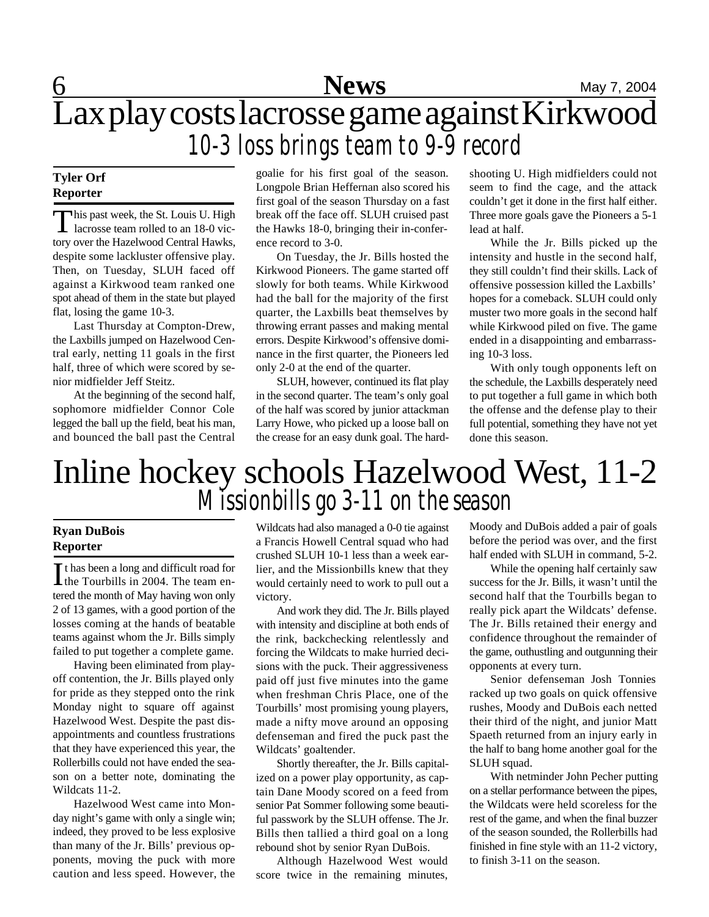## **6** Mews May 7, 2004 Lax play costs lacrosse game against Kirkwood *10-3 loss brings team to 9-9 record*

### **Tyler Orf Reporter**

This past week, the St. Louis U. High<br>lacrosse team rolled to an 18-0 vichis past week, the St. Louis U. High tory over the Hazelwood Central Hawks, despite some lackluster offensive play. Then, on Tuesday, SLUH faced off against a Kirkwood team ranked one spot ahead of them in the state but played flat, losing the game 10-3.

Last Thursday at Compton-Drew, the Laxbills jumped on Hazelwood Central early, netting 11 goals in the first half, three of which were scored by senior midfielder Jeff Steitz.

At the beginning of the second half, sophomore midfielder Connor Cole legged the ball up the field, beat his man, and bounced the ball past the Central goalie for his first goal of the season. Longpole Brian Heffernan also scored his first goal of the season Thursday on a fast break off the face off. SLUH cruised past the Hawks 18-0, bringing their in-conference record to 3-0.

On Tuesday, the Jr. Bills hosted the Kirkwood Pioneers. The game started off slowly for both teams. While Kirkwood had the ball for the majority of the first quarter, the Laxbills beat themselves by throwing errant passes and making mental errors. Despite Kirkwood's offensive dominance in the first quarter, the Pioneers led only 2-0 at the end of the quarter.

SLUH, however, continued its flat play in the second quarter. The team's only goal of the half was scored by junior attackman Larry Howe, who picked up a loose ball on the crease for an easy dunk goal. The hardshooting U. High midfielders could not seem to find the cage, and the attack couldn't get it done in the first half either. Three more goals gave the Pioneers a 5-1 lead at half.

While the Jr. Bills picked up the intensity and hustle in the second half, they still couldn't find their skills. Lack of offensive possession killed the Laxbills' hopes for a comeback. SLUH could only muster two more goals in the second half while Kirkwood piled on five. The game ended in a disappointing and embarrassing 10-3 loss.

With only tough opponents left on the schedule, the Laxbills desperately need to put together a full game in which both the offense and the defense play to their full potential, something they have not yet done this season.

## Inline hockey schools Hazelwood West, 11-2 *Missionbills go 3-11 on the season*

### **Ryan DuBois Reporter**

It has been a long and difficult road for<br>the Tourbills in 2004. The team enthe Tourbills in 2004. The team entered the month of May having won only 2 of 13 games, with a good portion of the losses coming at the hands of beatable teams against whom the Jr. Bills simply failed to put together a complete game.

Having been eliminated from playoff contention, the Jr. Bills played only for pride as they stepped onto the rink Monday night to square off against Hazelwood West. Despite the past disappointments and countless frustrations that they have experienced this year, the Rollerbills could not have ended the season on a better note, dominating the Wildcats 11-2.

Hazelwood West came into Monday night's game with only a single win; indeed, they proved to be less explosive than many of the Jr. Bills' previous opponents, moving the puck with more caution and less speed. However, the

Wildcats had also managed a 0-0 tie against a Francis Howell Central squad who had crushed SLUH 10-1 less than a week earlier, and the Missionbills knew that they would certainly need to work to pull out a victory.

And work they did. The Jr. Bills played with intensity and discipline at both ends of the rink, backchecking relentlessly and forcing the Wildcats to make hurried decisions with the puck. Their aggressiveness paid off just five minutes into the game when freshman Chris Place, one of the Tourbills' most promising young players, made a nifty move around an opposing defenseman and fired the puck past the Wildcats' goaltender.

Shortly thereafter, the Jr. Bills capitalized on a power play opportunity, as captain Dane Moody scored on a feed from senior Pat Sommer following some beautiful passwork by the SLUH offense. The Jr. Bills then tallied a third goal on a long rebound shot by senior Ryan DuBois.

Although Hazelwood West would score twice in the remaining minutes,

Moody and DuBois added a pair of goals before the period was over, and the first half ended with SLUH in command, 5-2.

While the opening half certainly saw success for the Jr. Bills, it wasn't until the second half that the Tourbills began to really pick apart the Wildcats' defense. The Jr. Bills retained their energy and confidence throughout the remainder of the game, outhustling and outgunning their opponents at every turn.

Senior defenseman Josh Tonnies racked up two goals on quick offensive rushes, Moody and DuBois each netted their third of the night, and junior Matt Spaeth returned from an injury early in the half to bang home another goal for the SLUH squad.

With netminder John Pecher putting on a stellar performance between the pipes, the Wildcats were held scoreless for the rest of the game, and when the final buzzer of the season sounded, the Rollerbills had finished in fine style with an 11-2 victory, to finish 3-11 on the season.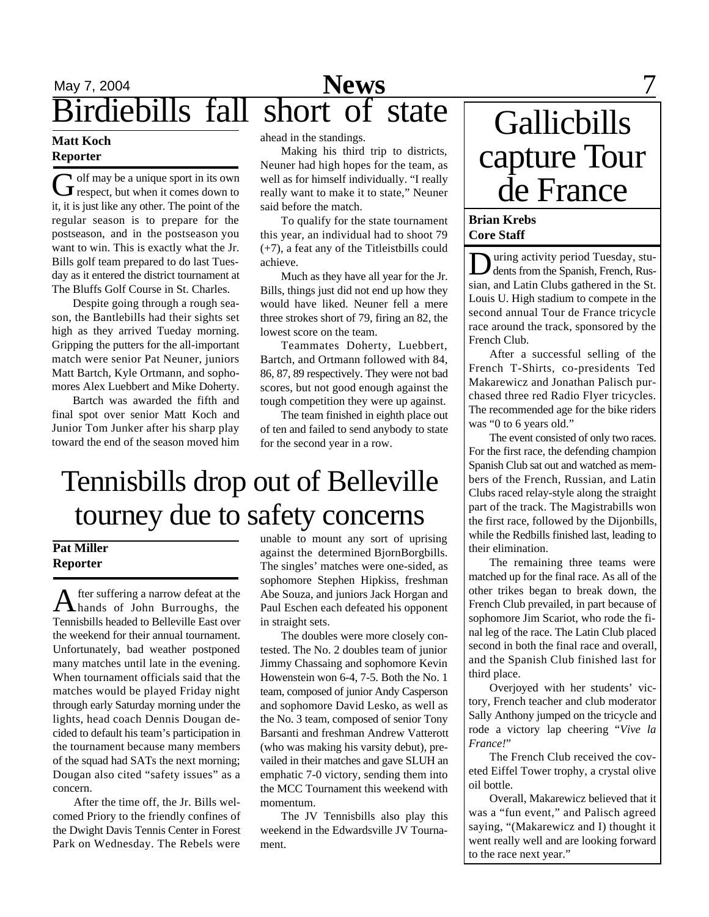## May 7, 2004 **News** 7 May 7, 2004<br>Birdiebills fall short of state

### **Matt Koch Reporter**

G off may be a unique sport in its own<br>respect, but when it comes down to olf may be a unique sport in its own it, it is just like any other. The point of the regular season is to prepare for the postseason, and in the postseason you want to win. This is exactly what the Jr. Bills golf team prepared to do last Tuesday as it entered the district tournament at The Bluffs Golf Course in St. Charles.

Despite going through a rough season, the Bantlebills had their sights set high as they arrived Tueday morning. Gripping the putters for the all-important match were senior Pat Neuner, juniors Matt Bartch, Kyle Ortmann, and sophomores Alex Luebbert and Mike Doherty.

Bartch was awarded the fifth and final spot over senior Matt Koch and Junior Tom Junker after his sharp play toward the end of the season moved him

ahead in the standings.

Making his third trip to districts, Neuner had high hopes for the team, as well as for himself individually. "I really really want to make it to state," Neuner said before the match.

To qualify for the state tournament this year, an individual had to shoot 79 (+7), a feat any of the Titleistbills could achieve.

Much as they have all year for the Jr. Bills, things just did not end up how they would have liked. Neuner fell a mere three strokes short of 79, firing an 82, the lowest score on the team.

Teammates Doherty, Luebbert, Bartch, and Ortmann followed with 84, 86, 87, 89 respectively. They were not bad scores, but not good enough against the tough competition they were up against.

The team finished in eighth place out of ten and failed to send anybody to state for the second year in a row.

## Tennisbills drop out of Belleville tourney due to safety concerns

### **Pat Miller Reporter**

A fter suffering a narrow defeat at the<br>hands of John Burroughs, the fter suffering a narrow defeat at the Tennisbills headed to Belleville East over the weekend for their annual tournament. Unfortunately, bad weather postponed many matches until late in the evening. When tournament officials said that the matches would be played Friday night through early Saturday morning under the lights, head coach Dennis Dougan decided to default his team's participation in the tournament because many members of the squad had SATs the next morning; Dougan also cited "safety issues" as a concern.

After the time off, the Jr. Bills welcomed Priory to the friendly confines of the Dwight Davis Tennis Center in Forest Park on Wednesday. The Rebels were

unable to mount any sort of uprising against the determined BjornBorgbills. The singles' matches were one-sided, as sophomore Stephen Hipkiss, freshman Abe Souza, and juniors Jack Horgan and Paul Eschen each defeated his opponent in straight sets.

The doubles were more closely contested. The No. 2 doubles team of junior Jimmy Chassaing and sophomore Kevin Howenstein won 6-4, 7-5. Both the No. 1 team, composed of junior Andy Casperson and sophomore David Lesko, as well as the No. 3 team, composed of senior Tony Barsanti and freshman Andrew Vatterott (who was making his varsity debut), prevailed in their matches and gave SLUH an emphatic 7-0 victory, sending them into the MCC Tournament this weekend with momentum.

The JV Tennisbills also play this weekend in the Edwardsville JV Tournament.

# Gallicbills capture Tour de France

### **Brian Krebs Core Staff**

 $\sum$  uring activity period Tuesday, stu-<br>dents from the Spanish, French, Rusuring activity period Tuesday, stusian, and Latin Clubs gathered in the St. Louis U. High stadium to compete in the second annual Tour de France tricycle race around the track, sponsored by the French Club.

After a successful selling of the French T-Shirts, co-presidents Ted Makarewicz and Jonathan Palisch purchased three red Radio Flyer tricycles. The recommended age for the bike riders was "0 to 6 years old."

The event consisted of only two races. For the first race, the defending champion Spanish Club sat out and watched as members of the French, Russian, and Latin Clubs raced relay-style along the straight part of the track. The Magistrabills won the first race, followed by the Dijonbills, while the Redbills finished last, leading to their elimination.

The remaining three teams were matched up for the final race. As all of the other trikes began to break down, the French Club prevailed, in part because of sophomore Jim Scariot, who rode the final leg of the race. The Latin Club placed second in both the final race and overall, and the Spanish Club finished last for third place.

Overjoyed with her students' victory, French teacher and club moderator Sally Anthony jumped on the tricycle and rode a victory lap cheering "*Vive la France!*"

The French Club received the coveted Eiffel Tower trophy, a crystal olive oil bottle.

Overall, Makarewicz believed that it was a "fun event," and Palisch agreed saying, "(Makarewicz and I) thought it went really well and are looking forward to the race next year."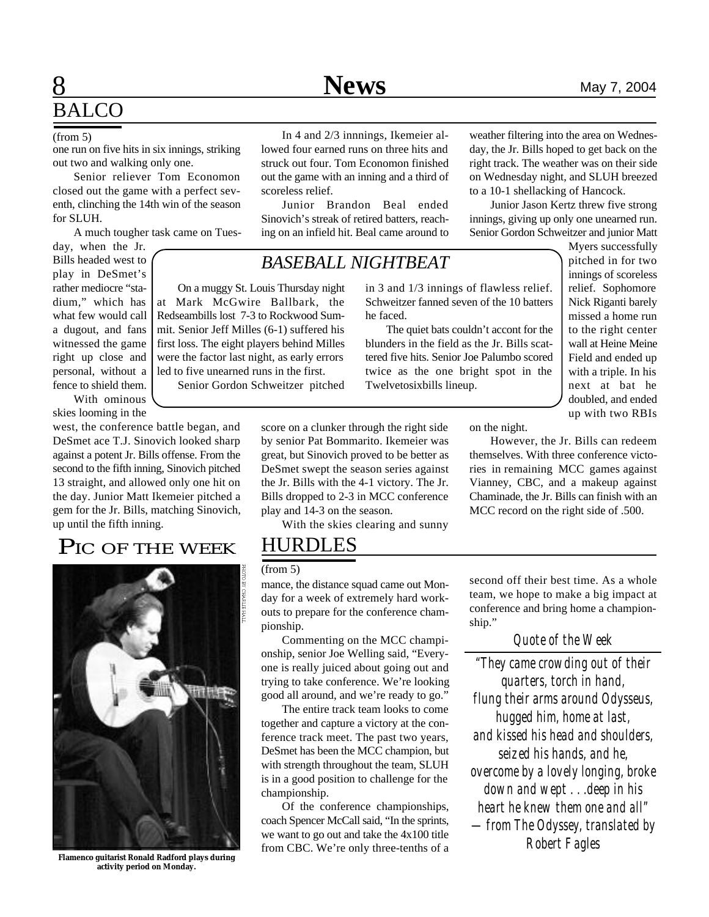## **8** Mews May 7, 2004 **BALCO**

one run on five hits in six innings, striking out two and walking only one.

Senior reliever Tom Economon closed out the game with a perfect seventh, clinching the 14th win of the season for SLUH.

A much tougher task came on Tues-

day, when the Jr. Bills headed west to play in DeSmet's rather mediocre "stadium," which has what few would call a dugout, and fans witnessed the game right up close and personal, without a fence to shield them. With ominous

skies looming in the

west, the conference battle began, and DeSmet ace T.J. Sinovich looked sharp against a potent Jr. Bills offense. From the second to the fifth inning, Sinovich pitched 13 straight, and allowed only one hit on the day. Junior Matt Ikemeier pitched a gem for the Jr. Bills, matching Sinovich, up until the fifth inning.

### PIC OF THE WEEK



**Flamenco guitarist Ronald Radford plays during activity period on Monday.**

In 4 and 2/3 innnings, Ikemeier allowed four earned runs on three hits and struck out four. Tom Economon finished out the game with an inning and a third of scoreless relief.

Junior Brandon Beal ended Sinovich's streak of retired batters, reaching on an infield hit. Beal came around to

### *BASEBALL NIGHTBEAT*

On a muggy St. Louis Thursday night at Mark McGwire Ballbark, the Redseambills lost 7-3 to Rockwood Summit. Senior Jeff Milles (6-1) suffered his first loss. The eight players behind Milles were the factor last night, as early errors led to five unearned runs in the first.

Senior Gordon Schweitzer pitched

in 3 and 1/3 innings of flawless relief. Schweitzer fanned seven of the 10 batters he faced.

The quiet bats couldn't accont for the blunders in the field as the Jr. Bills scattered five hits. Senior Joe Palumbo scored twice as the one bright spot in the Twelvetosixbills lineup.

weather filtering into the area on Wednesday, the Jr. Bills hoped to get back on the right track. The weather was on their side on Wednesday night, and SLUH breezed to a 10-1 shellacking of Hancock.

Junior Jason Kertz threw five strong innings, giving up only one unearned run. Senior Gordon Schweitzer and junior Matt

> Myers successfully pitched in for two innings of scoreless relief. Sophomore Nick Riganti barely missed a home run to the right center wall at Heine Meine Field and ended up with a triple. In his next at bat he doubled, and ended up with two RBIs

on the night.

However, the Jr. Bills can redeem themselves. With three conference victories in remaining MCC games against Vianney, CBC, and a makeup against Chaminade, the Jr. Bills can finish with an MCC record on the right side of .500.

With the skies clearing and sunny

score on a clunker through the right side by senior Pat Bommarito. Ikemeier was great, but Sinovich proved to be better as DeSmet swept the season series against the Jr. Bills with the 4-1 victory. The Jr. Bills dropped to 2-3 in MCC conference

### HURDLES

play and 14-3 on the season.

#### (from 5)

mance, the distance squad came out Monday for a week of extremely hard workouts to prepare for the conference championship.

Commenting on the MCC championship, senior Joe Welling said, "Everyone is really juiced about going out and trying to take conference. We're looking good all around, and we're ready to go."

The entire track team looks to come together and capture a victory at the conference track meet. The past two years, DeSmet has been the MCC champion, but with strength throughout the team, SLUH is in a good position to challenge for the championship.

Of the conference championships, coach Spencer McCall said, "In the sprints, we want to go out and take the 4x100 title from CBC. We're only three-tenths of a second off their best time. As a whole team, we hope to make a big impact at conference and bring home a championship."

### *Quote of the Week*

*"They came crowding out of their quarters, torch in hand, flung their arms around Odysseus, hugged him, home at last, and kissed his head and shoulders, seized his hands, and he, overcome by a lovely longing, broke down and wept . . .deep in his heart he knew them one and all" —from The Odyssey, translated by Robert Fagles*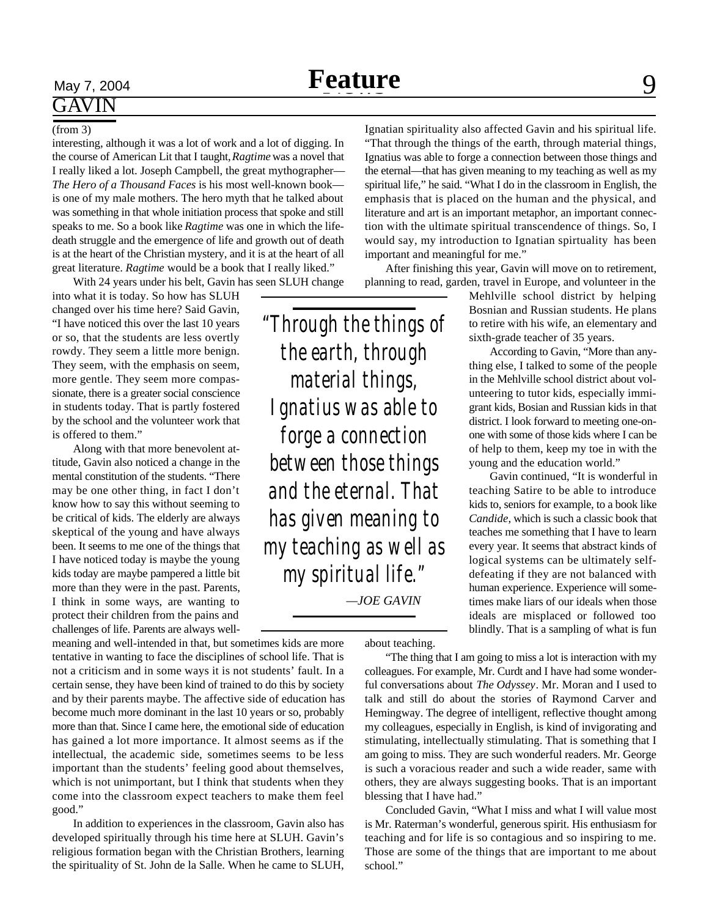# GAVIN

#### (from 3)

interesting, although it was a lot of work and a lot of digging. In the course of American Lit that I taught, *Ragtime* was a novel that I really liked a lot. Joseph Campbell, the great mythographer— *The Hero of a Thousand Faces* is his most well-known book is one of my male mothers. The hero myth that he talked about was something in that whole initiation process that spoke and still speaks to me. So a book like *Ragtime* was one in which the lifedeath struggle and the emergence of life and growth out of death is at the heart of the Christian mystery, and it is at the heart of all great literature. *Ragtime* would be a book that I really liked."

With 24 years under his belt, Gavin has seen SLUH change

into what it is today. So how has SLUH changed over his time here? Said Gavin, "I have noticed this over the last 10 years or so, that the students are less overtly rowdy. They seem a little more benign. They seem, with the emphasis on seem, more gentle. They seem more compassionate, there is a greater social conscience in students today. That is partly fostered by the school and the volunteer work that is offered to them."

Along with that more benevolent attitude, Gavin also noticed a change in the mental constitution of the students. "There may be one other thing, in fact I don't know how to say this without seeming to be critical of kids. The elderly are always skeptical of the young and have always been. It seems to me one of the things that I have noticed today is maybe the young kids today are maybe pampered a little bit more than they were in the past. Parents, I think in some ways, are wanting to protect their children from the pains and challenges of life. Parents are always well-

meaning and well-intended in that, but sometimes kids are more tentative in wanting to face the disciplines of school life. That is not a criticism and in some ways it is not students' fault. In a certain sense, they have been kind of trained to do this by society and by their parents maybe. The affective side of education has become much more dominant in the last 10 years or so, probably more than that. Since I came here, the emotional side of education has gained a lot more importance. It almost seems as if the intellectual, the academic side, sometimes seems to be less important than the students' feeling good about themselves, which is not unimportant, but I think that students when they come into the classroom expect teachers to make them feel good."

In addition to experiences in the classroom, Gavin also has developed spiritually through his time here at SLUH. Gavin's religious formation began with the Christian Brothers, learning the spirituality of St. John de la Salle. When he came to SLUH,

*"Through the things of the earth, through material things, Ignatius was able to forge a connection between those things and the eternal. That has given meaning to my teaching as well as my spiritual life." —JOE GAVIN*

Ignatian spirituality also affected Gavin and his spiritual life. "That through the things of the earth, through material things, Ignatius was able to forge a connection between those things and the eternal—that has given meaning to my teaching as well as my spiritual life," he said. "What I do in the classroom in English, the emphasis that is placed on the human and the physical, and literature and art is an important metaphor, an important connection with the ultimate spiritual transcendence of things. So, I would say, my introduction to Ignatian spirtuality has been important and meaningful for me."

After finishing this year, Gavin will move on to retirement, planning to read, garden, travel in Europe, and volunteer in the

> Mehlville school district by helping Bosnian and Russian students. He plans to retire with his wife, an elementary and sixth-grade teacher of 35 years.

> According to Gavin, "More than anything else, I talked to some of the people in the Mehlville school district about volunteering to tutor kids, especially immigrant kids, Bosian and Russian kids in that district. I look forward to meeting one-onone with some of those kids where I can be of help to them, keep my toe in with the young and the education world."

> Gavin continued, "It is wonderful in teaching Satire to be able to introduce kids to, seniors for example, to a book like *Candide*, which is such a classic book that teaches me something that I have to learn every year. It seems that abstract kinds of logical systems can be ultimately selfdefeating if they are not balanced with human experience. Experience will sometimes make liars of our ideals when those ideals are misplaced or followed too blindly. That is a sampling of what is fun

about teaching.

"The thing that I am going to miss a lot is interaction with my colleagues. For example, Mr. Curdt and I have had some wonderful conversations about *The Odyssey*. Mr. Moran and I used to talk and still do about the stories of Raymond Carver and Hemingway. The degree of intelligent, reflective thought among my colleagues, especially in English, is kind of invigorating and stimulating, intellectually stimulating. That is something that I am going to miss. They are such wonderful readers. Mr. George is such a voracious reader and such a wide reader, same with others, they are always suggesting books. That is an important blessing that I have had."

Concluded Gavin, "What I miss and what I will value most is Mr. Raterman's wonderful, generous spirit. His enthusiasm for teaching and for life is so contagious and so inspiring to me. Those are some of the things that are important to me about school."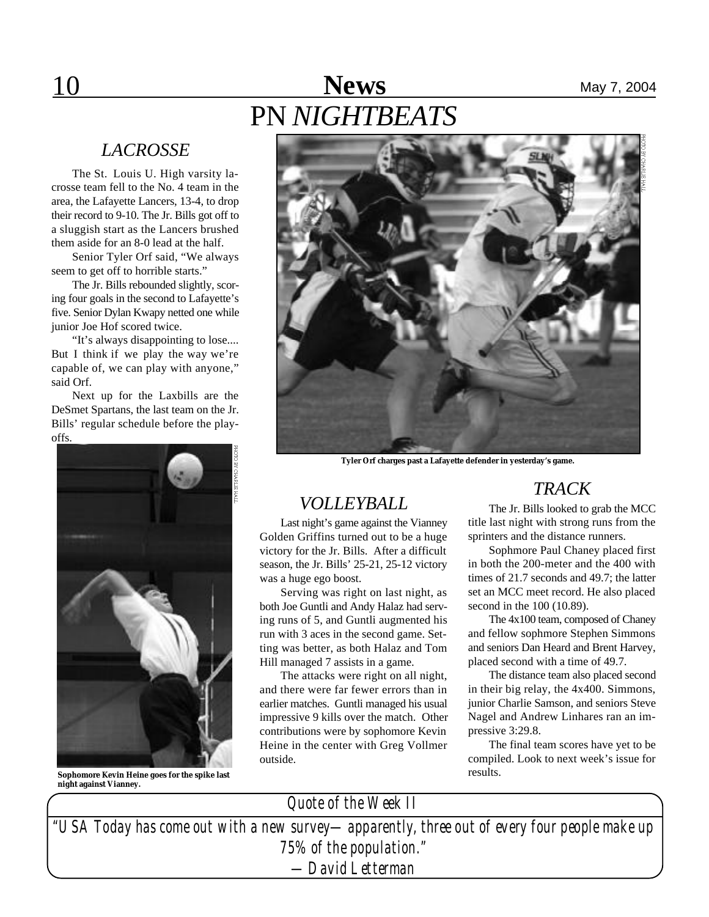## 10 **News** May 7, 2004 PN *NIGHTBEATS*

### *LACROSSE*

The St. Louis U. High varsity lacrosse team fell to the No. 4 team in the area, the Lafayette Lancers, 13-4, to drop their record to 9-10. The Jr. Bills got off to a sluggish start as the Lancers brushed them aside for an 8-0 lead at the half.

Senior Tyler Orf said, "We always seem to get off to horrible starts."

The Jr. Bills rebounded slightly, scoring four goals in the second to Lafayette's five. Senior Dylan Kwapy netted one while junior Joe Hof scored twice.

"It's always disappointing to lose.... But I think if we play the way we're capable of, we can play with anyone," said Orf.

Next up for the Laxbills are the DeSmet Spartans, the last team on the Jr. Bills' regular schedule before the playoffs.



**Sophomore Kevin Heine goes for the spike last night against Vianney.**



**Tyler Orf charges past a Lafayette defender in yesterday's game.**

### *VOLLEYBALL*

Last night's game against the Vianney Golden Griffins turned out to be a huge victory for the Jr. Bills. After a difficult season, the Jr. Bills' 25-21, 25-12 victory was a huge ego boost.

Serving was right on last night, as both Joe Guntli and Andy Halaz had serving runs of 5, and Guntli augmented his run with 3 aces in the second game. Setting was better, as both Halaz and Tom Hill managed 7 assists in a game.

The attacks were right on all night, and there were far fewer errors than in earlier matches. Guntli managed his usual impressive 9 kills over the match. Other contributions were by sophomore Kevin Heine in the center with Greg Vollmer outside.

### *TRACK*

The Jr. Bills looked to grab the MCC title last night with strong runs from the sprinters and the distance runners.

Sophmore Paul Chaney placed first in both the 200-meter and the 400 with times of 21.7 seconds and 49.7; the latter set an MCC meet record. He also placed second in the 100 (10.89).

The 4x100 team, composed of Chaney and fellow sophmore Stephen Simmons and seniors Dan Heard and Brent Harvey, placed second with a time of 49.7.

The distance team also placed second in their big relay, the 4x400. Simmons, junior Charlie Samson, and seniors Steve Nagel and Andrew Linhares ran an impressive 3:29.8.

The final team scores have yet to be compiled. Look to next week's issue for results.

*"USA Today has come out with a new survey—apparently, three out of every four people make up 75% of the population." —David Letterman Quote of the Week II*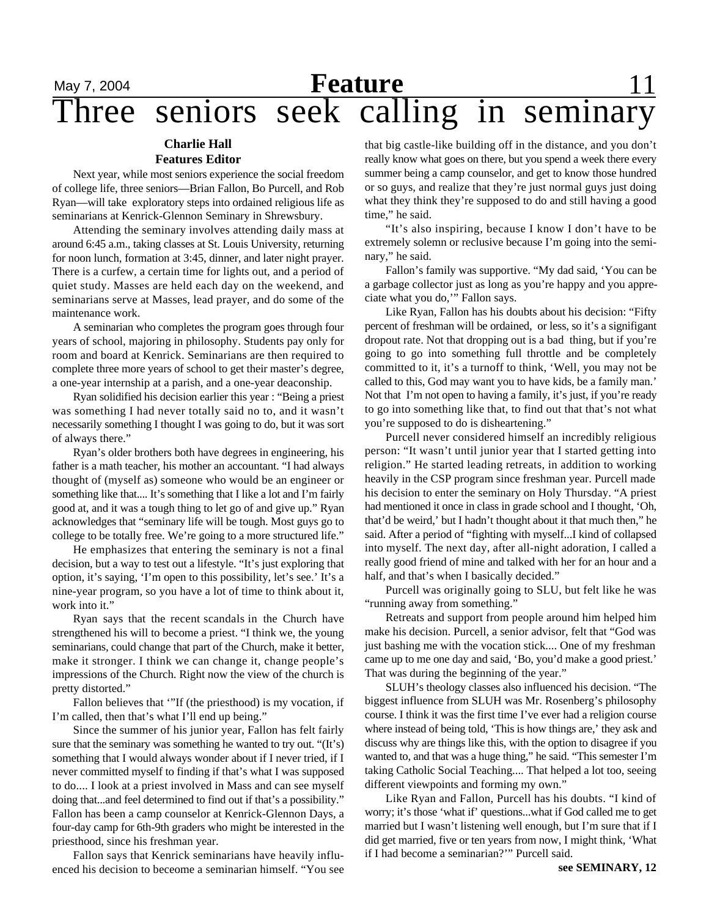### May 7, 2004 **Feature** 11 Three seniors seek calling in seminary **Feature**

### **Charlie Hall Features Editor**

Next year, while most seniors experience the social freedom of college life, three seniors—Brian Fallon, Bo Purcell, and Rob Ryan—will take exploratory steps into ordained religious life as seminarians at Kenrick-Glennon Seminary in Shrewsbury.

Attending the seminary involves attending daily mass at around 6:45 a.m., taking classes at St. Louis University, returning for noon lunch, formation at 3:45, dinner, and later night prayer. There is a curfew, a certain time for lights out, and a period of quiet study. Masses are held each day on the weekend, and seminarians serve at Masses, lead prayer, and do some of the maintenance work.

A seminarian who completes the program goes through four years of school, majoring in philosophy. Students pay only for room and board at Kenrick. Seminarians are then required to complete three more years of school to get their master's degree, a one-year internship at a parish, and a one-year deaconship.

Ryan solidified his decision earlier this year : "Being a priest was something I had never totally said no to, and it wasn't necessarily something I thought I was going to do, but it was sort of always there."

Ryan's older brothers both have degrees in engineering, his father is a math teacher, his mother an accountant. "I had always thought of (myself as) someone who would be an engineer or something like that.... It's something that I like a lot and I'm fairly good at, and it was a tough thing to let go of and give up." Ryan acknowledges that "seminary life will be tough. Most guys go to college to be totally free. We're going to a more structured life."

He emphasizes that entering the seminary is not a final decision, but a way to test out a lifestyle. "It's just exploring that option, it's saying, 'I'm open to this possibility, let's see.' It's a nine-year program, so you have a lot of time to think about it, work into it."

Ryan says that the recent scandals in the Church have strengthened his will to become a priest. "I think we, the young seminarians, could change that part of the Church, make it better, make it stronger. I think we can change it, change people's impressions of the Church. Right now the view of the church is pretty distorted."

Fallon believes that '"If (the priesthood) is my vocation, if I'm called, then that's what I'll end up being."

Since the summer of his junior year, Fallon has felt fairly sure that the seminary was something he wanted to try out. "(It's) something that I would always wonder about if I never tried, if I never committed myself to finding if that's what I was supposed to do.... I look at a priest involved in Mass and can see myself doing that...and feel determined to find out if that's a possibility." Fallon has been a camp counselor at Kenrick-Glennon Days, a four-day camp for 6th-9th graders who might be interested in the priesthood, since his freshman year.

Fallon says that Kenrick seminarians have heavily influenced his decision to beceome a seminarian himself. "You see that big castle-like building off in the distance, and you don't really know what goes on there, but you spend a week there every summer being a camp counselor, and get to know those hundred or so guys, and realize that they're just normal guys just doing what they think they're supposed to do and still having a good time," he said.

"It's also inspiring, because I know I don't have to be extremely solemn or reclusive because I'm going into the seminary," he said.

Fallon's family was supportive. "My dad said, 'You can be a garbage collector just as long as you're happy and you appreciate what you do,'" Fallon says.

Like Ryan, Fallon has his doubts about his decision: "Fifty percent of freshman will be ordained, or less, so it's a signifigant dropout rate. Not that dropping out is a bad thing, but if you're going to go into something full throttle and be completely committed to it, it's a turnoff to think, 'Well, you may not be called to this, God may want you to have kids, be a family man.' Not that I'm not open to having a family, it's just, if you're ready to go into something like that, to find out that that's not what you're supposed to do is disheartening."

Purcell never considered himself an incredibly religious person: "It wasn't until junior year that I started getting into religion." He started leading retreats, in addition to working heavily in the CSP program since freshman year. Purcell made his decision to enter the seminary on Holy Thursday. "A priest had mentioned it once in class in grade school and I thought, 'Oh, that'd be weird,' but I hadn't thought about it that much then," he said. After a period of "fighting with myself...I kind of collapsed into myself. The next day, after all-night adoration, I called a really good friend of mine and talked with her for an hour and a half, and that's when I basically decided."

Purcell was originally going to SLU, but felt like he was "running away from something."

Retreats and support from people around him helped him make his decision. Purcell, a senior advisor, felt that "God was just bashing me with the vocation stick.... One of my freshman came up to me one day and said, 'Bo, you'd make a good priest.' That was during the beginning of the year."

SLUH's theology classes also influenced his decision. "The biggest influence from SLUH was Mr. Rosenberg's philosophy course. I think it was the first time I've ever had a religion course where instead of being told, 'This is how things are,' they ask and discuss why are things like this, with the option to disagree if you wanted to, and that was a huge thing," he said. "This semester I'm taking Catholic Social Teaching.... That helped a lot too, seeing different viewpoints and forming my own."

Like Ryan and Fallon, Purcell has his doubts. "I kind of worry; it's those 'what if' questions...what if God called me to get married but I wasn't listening well enough, but I'm sure that if I did get married, five or ten years from now, I might think, 'What if I had become a seminarian?'" Purcell said.